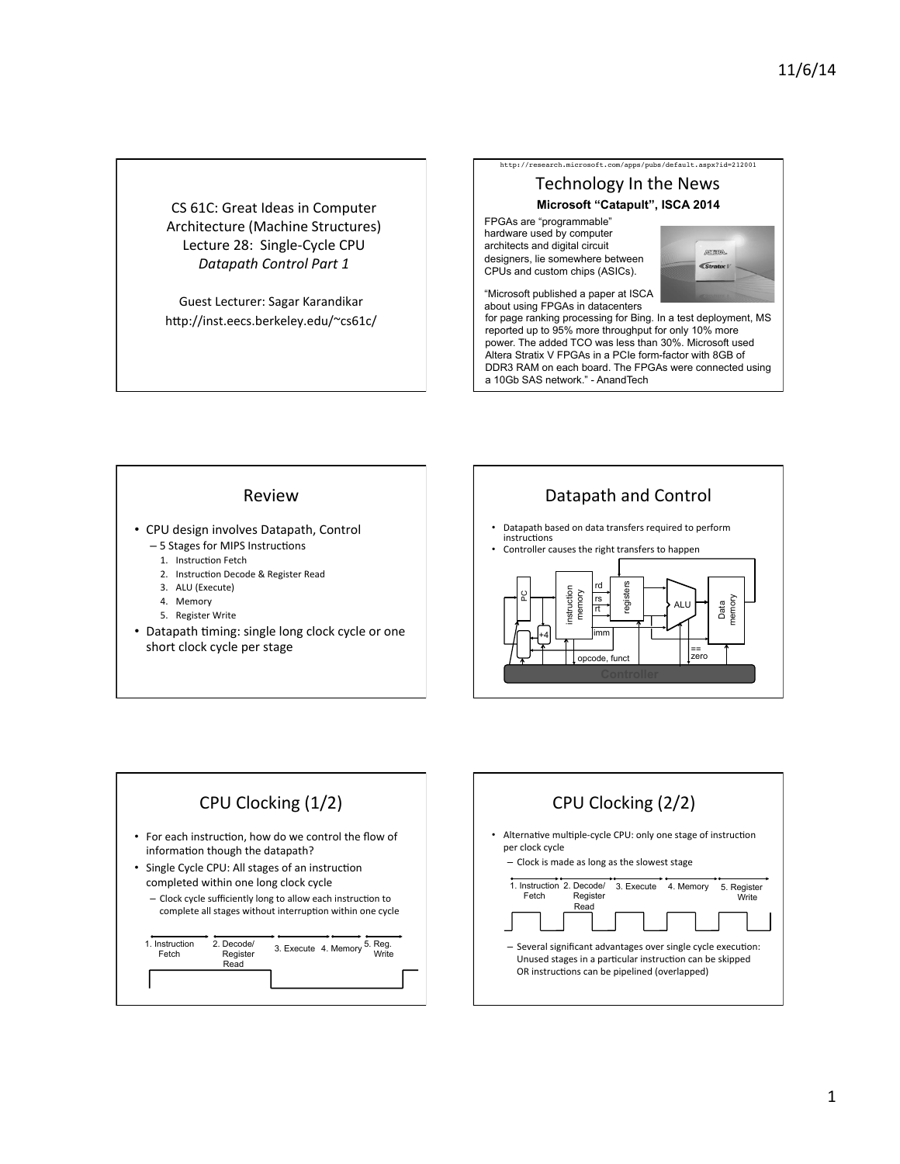CS 61C: Great Ideas in Computer Architecture (Machine Structures) Lecture 28: Single-Cycle CPU *Datapath Control Part 1* 

Guest Lecturer: Sagar Karandikar http://inst.eecs.berkeley.edu/~cs61c/

# Technology In the News http://research.microsoft.com/apps/pubs/default.aspx?id=212001 **Microsoft "Catapult", ISCA 2014**

FPGAs are "programmable" hardware used by computer architects and digital circuit designers, lie somewhere between CPUs and custom chips (ASICs).



"Microsoft published a paper at ISCA about using FPGAs in datacenters

for page ranking processing for Bing. In a test deployment, MS reported up to 95% more throughput for only 10% more power. The added TCO was less than 30%. Microsoft used Altera Stratix V FPGAs in a PCIe form-factor with 8GB of DDR3 RAM on each board. The FPGAs were connected using a 10Gb SAS network." - AnandTech

#### Review

- CPU design involves Datapath, Control
	- 5 Stages for MIPS Instructions
		- 1. Instruction Fetch
		- 2. Instruction Decode & Register Read
		- 3. ALU (Execute)
		- 4. Memory
		- 5. Register Write
- Datapath timing: single long clock cycle or one short clock cycle per stage



- Datapath based on data transfers required to perform instructions
- Controller causes the right transfers to happen





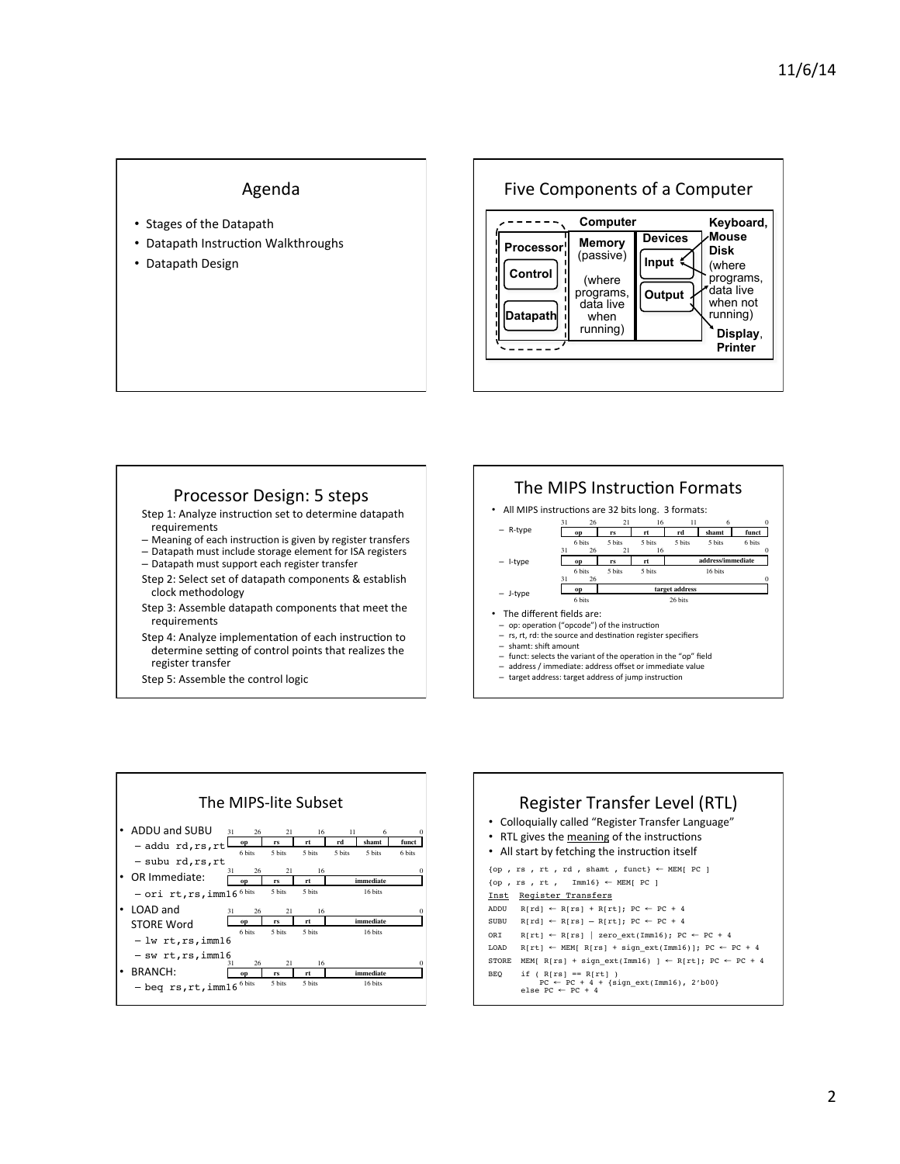## Agenda

- Stages of the Datapath
- Datapath Instruction Walkthroughs
- Datapath Design

Five Components of a Computer  **Processor Computer Control Datapath Memory**  (passive) (where programs, data live when running) **Devices Input Output Keyboard, Mouse Display**, **Printer Disk** (where programs, data live when not running)

### Processor Design: 5 steps

Step 1: Analyze instruction set to determine datapath requirements 

– Meaning of each instruction is given by register transfers - Datapath must include storage element for ISA registers

- Datapath must support each register transfer
- Step 2: Select set of datapath components & establish clock methodology
- Step 3: Assemble datapath components that meet the requirements
- Step 4: Analyze implementation of each instruction to determine setting of control points that realizes the register transfer
- Step 5: Assemble the control logic





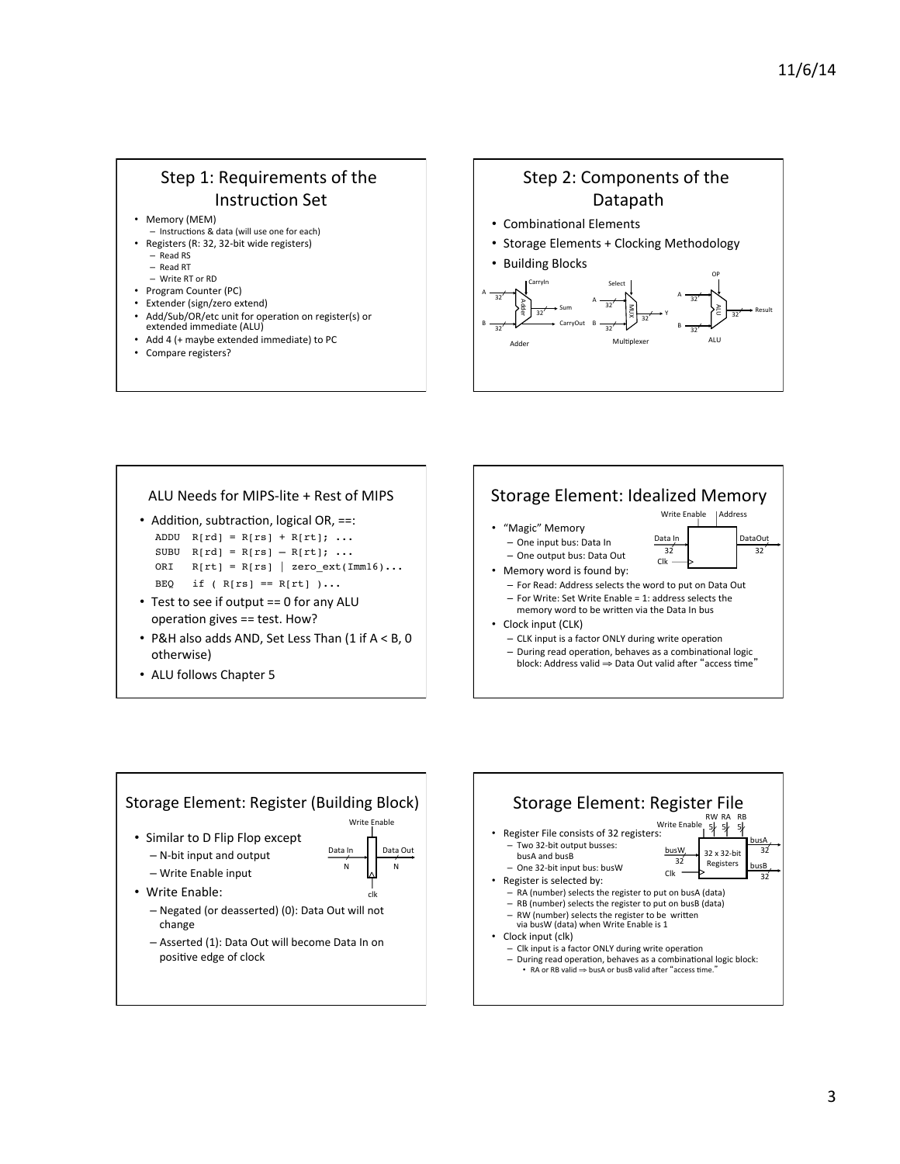# Step 1: Requirements of the Instruction Set

- Memory (MEM)
- Instructions & data (will use one for each)
- Registers (R: 32, 32-bit wide registers)
	- Read RS – Read RT
	-
- Write RT or RD
- Program Counter (PC)
- Extender (sign/zero extend)
- Add/Sub/OR/etc unit for operation on register(s) or<br>extended immediate (ALU)
- Add 4 (+ maybe extended immediate) to PC
- Compare registers?



#### ALU Needs for MIPS-lite + Rest of MIPS • Addition, subtraction, logical OR,  $==$ : ADDU  $R[rd] = R[rs] + R[rt]; ...$ SUBU  $R[rd] = R[rs] - R[rt]; ...$ ORI  $R[rt] = R[rs]$  | zero\_ext(Imm16)... BEQ if ( $R[rs] == R[rt]$ )... • Test to see if output  $== 0$  for any ALU operation gives == test. How? • P&H also adds AND, Set Less Than  $(1$  if  $A < B$ , 0 otherwise) • ALU follows Chapter 5 Storage Element: Idealized Memory • "Magic" Memory - One input bus: Data In – One output bus: Data Out • Memory word is found by: - For Read: Address selects the word to put on Data Out  $-$  For Write: Set Write Enable = 1: address selects the memory word to be written via the Data In bus Clock input (CLK) - CLK input is a factor ONLY during write operation – During read operation, behaves as a combinational logic<br>"block: Address valid ⇒ Data Out valid after "access time" Clk -Data In Write Enable 32<sup>'</sup> 32<sup>'</sup> DataOuț **LAddress**